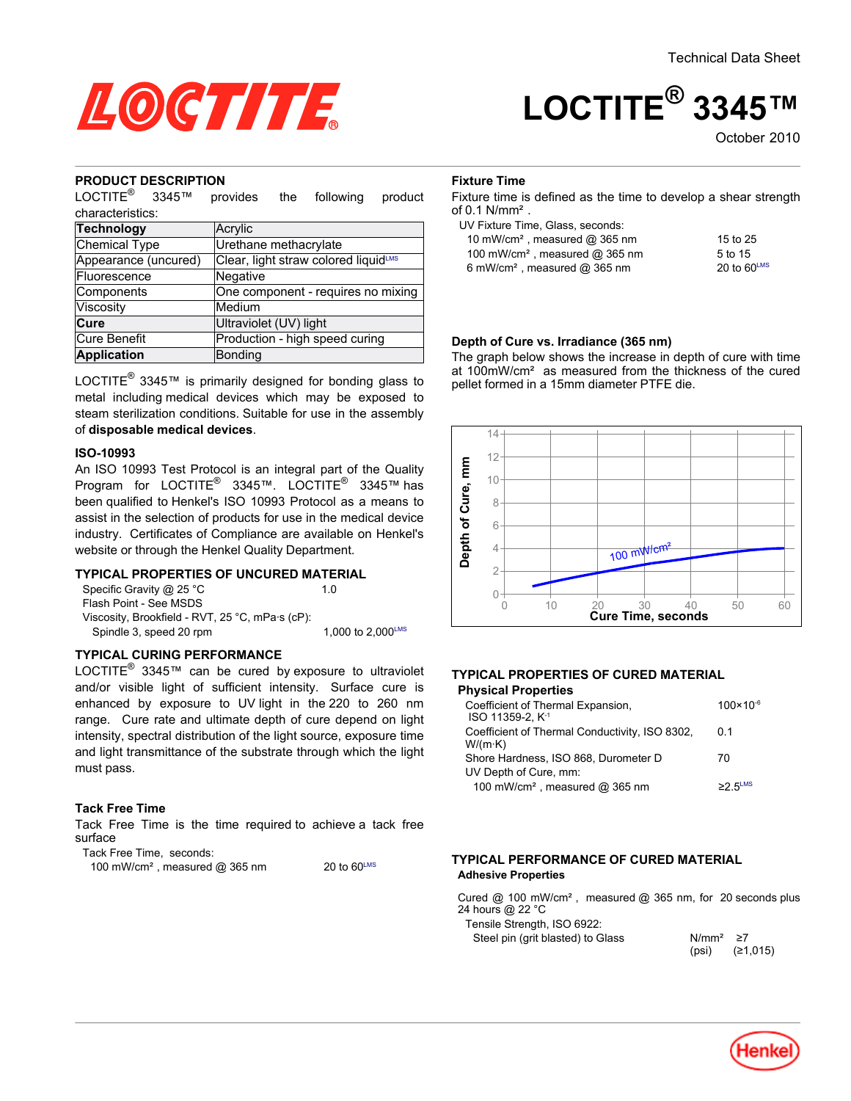

# **LOCTITE® 3345™**

October<sub>2010</sub>

#### **PRODUCT DESCRIPTION**

LOCTITE<sup>®</sup> 3345™ provides the following product characteristics:

| unarauch ishus.      |                                      |  |  |
|----------------------|--------------------------------------|--|--|
| Technology           | Acrylic                              |  |  |
| Chemical Type        | Urethane methacrylate                |  |  |
| Appearance (uncured) | Clear, light straw colored liquidLMS |  |  |
| Fluorescence         | Negative                             |  |  |
| Components           | One component - requires no mixing   |  |  |
| Viscosity            | Medium                               |  |  |
| Cure                 | Ultraviolet (UV) light               |  |  |
| Cure Benefit         | Production - high speed curing       |  |  |
| Application          | <b>Bonding</b>                       |  |  |
|                      |                                      |  |  |

LOCTITE $^{\circledR}$  3345™ is primarily designed for bonding glass to metal including medical devices which may be exposed to steam sterilization conditions. Suitable for use in the assembly of **disposable medical devices**.

#### **ISO-10993**

An ISO 10993 Test Protocol is an integral part of the Quality Program for LOCTITE® 3345™. LOCTITE® 3345™ has been qualified to Henkel's ISO 10993 Protocol as a means to assist in the selection of products for use in the medical device industry. Certificates of Compliance are available on Henkel's website or through the Henkel Quality Department.

## **TYPICAL PROPERTIES OF UNCURED MATERIAL**

| Specific Gravity @ 25 °C                        | 10                            |
|-------------------------------------------------|-------------------------------|
| Flash Point - See MSDS                          |                               |
| Viscosity, Brookfield - RVT, 25 °C, mPa·s (cP): |                               |
| Spindle 3, speed 20 rpm                         | 1.000 to $2.000^{\text{LMS}}$ |
|                                                 |                               |

#### **TYPICAL CURING PERFORMANCE**

LOCTITE<sup>®</sup> 3345™ can be cured by exposure to ultraviolet and/or visible light of sufficient intensity. Surface cure is enhanced by exposure to UV light in the 220 to 260 nm range. Cure rate and ultimate depth of cure depend on light intensity, spectral distribution of the light source, exposure time and light transmittance of the substrate through which the light must pass.

#### **Tack Free Time**

Tack Free Time is the time required to achieve a tack free surface

Tack Free Time, seconds:

| 100 mW/cm <sup>2</sup> , measured @ 365 nm | 20 to $60^{\text{LMS}}$ |
|--------------------------------------------|-------------------------|
|--------------------------------------------|-------------------------|

## **Fixture Time**

Fixture time is defined as the time to develop a shear strength of 0.1 N/mm².

| UV Fixture Time, Glass, seconds: |  |
|----------------------------------|--|
|----------------------------------|--|

| 10 mW/cm <sup>2</sup> , measured $@$ 365 nm  | 15 to 25                |
|----------------------------------------------|-------------------------|
| 100 mW/cm <sup>2</sup> , measured $@$ 365 nm | 5 to 15                 |
| 6 mW/cm <sup>2</sup> , measured $@$ 365 nm   | 20 to $60^{\text{LMS}}$ |

#### **Depth of Cure vs. Irradiance (365 nm)**

The graph below shows the increase in depth of cure with time at 100mW/cm² as measured from the thickness of the cured pellet formed in a 15mm diameter PTFE die.



#### **TYPICAL PROPERTIES OF CURED MATERIAL Physical Properties**

| Coefficient of Thermal Expansion,<br>ISO 11359-2, K <sup>-1</sup>   | $100 \times 10^{-6}$ |
|---------------------------------------------------------------------|----------------------|
| Coefficient of Thermal Conductivity, ISO 8302,<br>$W/(m \cdot K)$   | 01                   |
| Shore Hardness, ISO 868, Durometer D                                | 70                   |
| UV Depth of Cure, mm:<br>100 mW/cm <sup>2</sup> , measured @ 365 nm | $\geq$ 5 FLMS        |

#### **TYPICAL PERFORMANCE OF CURED MATERIAL Adhesive Properties**

Cured @ 100 mW/cm², measured @ 365 nm, for 20 seconds plus 24 hours @ 22 °C

Tensile Strength, ISO 6922: Steel pin (grit blasted) to Glass

| N/mm <sup>2</sup> | 27       |
|-------------------|----------|
| (psi)             | (≥1,015) |

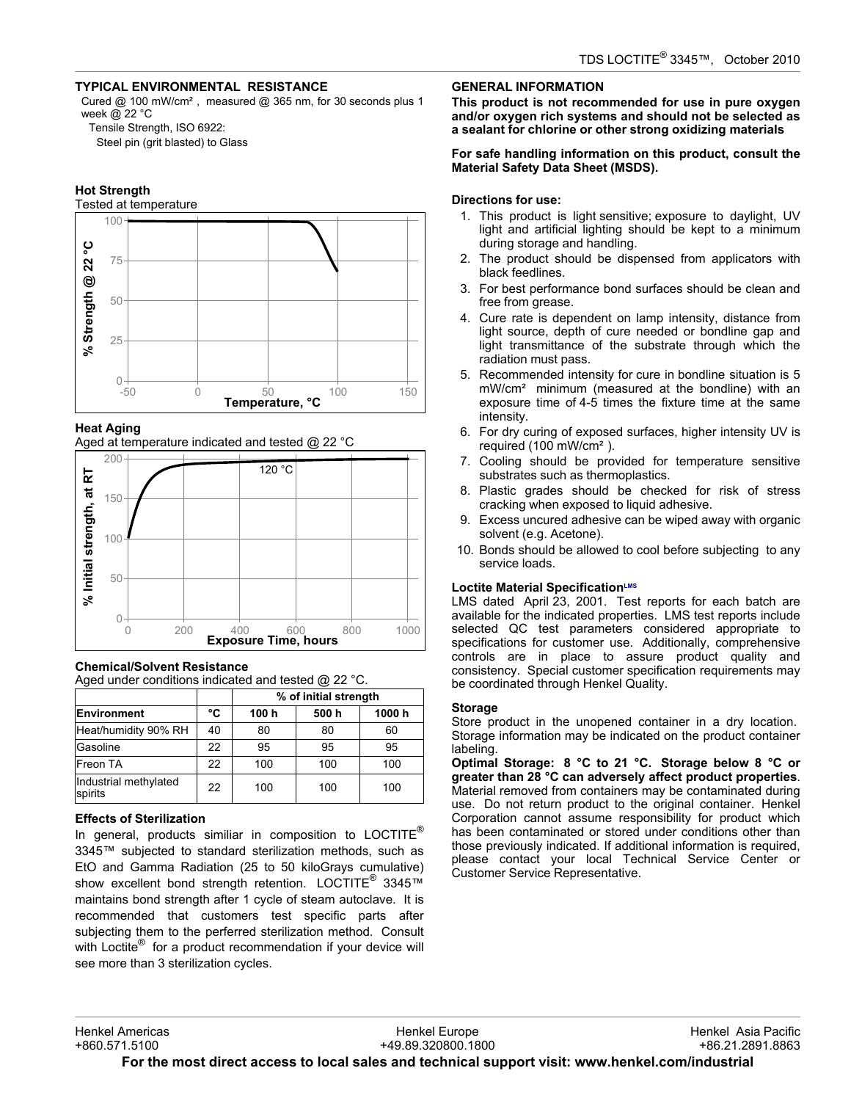# **TYPICAL ENVIRONMENTAL RESISTANCE**

Cured @ 100 mW/cm², measured @ 365 nm, for 30 seconds plus 1 week @ 22 °C

Tensile Strength, ISO 6922:

Steel pin (grit blasted) to Glass

# **Hot Strength**

Tested at temperature



## **Heat Aging**

Aged at temperature indicated and tested @ 22 °C



## **Chemical/Solvent Resistance**

Aged under conditions indicated and tested @ 22 °C.

|                                  |    | % of initial strength |      |       |
|----------------------------------|----|-----------------------|------|-------|
| <b>Environment</b>               | °C | 100 h                 | 500h | 1000h |
| Heat/humidity 90% RH             | 40 | 80                    | 80   | 60    |
| Gasoline                         | 22 | 95                    | 95   | 95    |
| Freon TA                         | 22 | 100                   | 100  | 100   |
| Industrial methylated<br>spirits | 22 | 100                   | 100  | 100   |

## **Effects of Sterilization**

In general, products similiar in composition to LOCTITE<sup>®</sup> 3345™ subjected to standard sterilization methods, such as EtO and Gamma Radiation (25 to 50 kiloGrays cumulative) show excellent bond strength retention. LOCTITE<sup>®</sup> 3345™ maintains bond strength after 1 cycle of steam autoclave. It is recommended that customers test specific parts after subjecting them to the perferred sterilization method. Consult with Loctite<sup>®</sup> for a product recommendation if your device will see more than 3 sterilization cycles.

# **GENERAL INFORMATION**

**This product is not recommended for use in pure oxygen and/or oxygen rich systems and should not be selected as a sealant for chlorine or other strong oxidizing materials**

#### **For safe handling information on this product, consult the Material Safety Data Sheet (MSDS).**

## **Directions for use:**

- 1. This product is light sensitive; exposure to daylight, UV light and artificial lighting should be kept to a minimum during storage and handling.
- 2. The product should be dispensed from applicators with black feedlines.
- 3. For best performance bond surfaces should be clean and free from grease.
- 4. Cure rate is dependent on lamp intensity, distance from light source, depth of cure needed or bondline gap and light transmittance of the substrate through which the radiation must pass.
- 5. Recommended intensity for cure in bondline situation is 5 mW/cm² minimum (measured at the bondline) with an exposure time of 4-5 times the fixture time at the same intensity.
- 6. For dry curing of exposed surfaces, higher intensity UV is required (100 mW/cm²).
- 7. Cooling should be provided for temperature sensitive substrates such as thermoplastics.
- 8. Plastic grades should be checked for risk of stress cracking when exposed to liquid adhesive.
- 9. Excess uncured adhesive can be wiped away with organic solvent (e.g. Acetone).
- 10. Bonds should be allowed to cool before subjecting to any service loads.

## **Loctite Material SpecificationLMS**

LMS dated April 23, 2001. Test reports for each batch are available for the indicated properties. LMS test reports include selected QC test parameters considered appropriate to specifications for customer use. Additionally, comprehensive controls are in place to assure product quality and consistency. Special customer specification requirements may be coordinated through Henkel Quality.

## **Storage**

Store product in the unopened container in a dry location. Storage information may be indicated on the product container labeling.

**Optimal Storage: 8 °C to 21 °C. Storage below 8 °C or greater than 28 °C can adversely affect product properties**. Material removed from containers may be contaminated during use. Do not return product to the original container. Henkel Corporation cannot assume responsibility for product which has been contaminated or stored under conditions other than those previously indicated. If additional information is required, please contact your local Technical Service Center or Customer Service Representative.